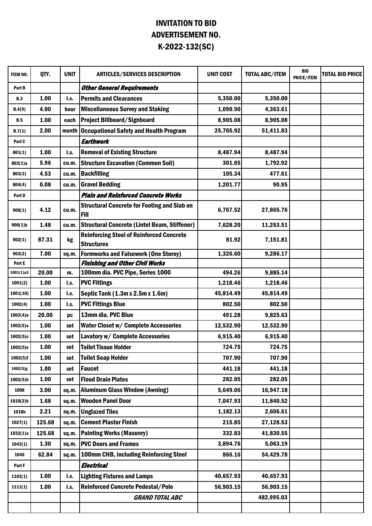## INVITATION TO BID ADVERTISEMENT NO. K-2022-132(SC)

| ITEM NO.               | QTY.          | <b>UNIT</b>             | <b>ARTICLES/SERVICES DESCRIPTION</b>                              | <b>UNIT COST</b>   | <b>TOTAL ABC/ITEM</b> | <b>BID</b><br>PRICE/ITEM | <b>TOTAL BID PRICE</b> |
|------------------------|---------------|-------------------------|-------------------------------------------------------------------|--------------------|-----------------------|--------------------------|------------------------|
| Part B                 |               |                         | <b>Other General Requirements</b>                                 |                    |                       |                          |                        |
| <b>B.3</b>             | 1.00          | $\mathsf{I}.\mathsf{s}$ | <b>Permits and Clearances</b>                                     | 5,350.00           | 5,350.00              |                          |                        |
| B.4(9)                 | 4.00          | hour                    | <b>Miscellaneous Survey and Staking</b>                           | 1,090.90           | 4,363.61              |                          |                        |
| <b>B.5</b>             | 1.00          | each                    | <b>Project Billboard/Signboard</b>                                | 8,905.08           | 8,905.08              |                          |                        |
| B.7(1)                 | 2.00          | month                   | <b>Occupational Safety and Health Program</b>                     | 25,705.92          | 51,411.83             |                          |                        |
| Part C                 |               |                         | Earthwork                                                         |                    |                       |                          |                        |
| 801(1)                 | 1.00          | I.s.                    | <b>Removal of Existing Structure</b>                              | 8,487.94           | 8,487.94              |                          |                        |
| 803(1)a                | 5.96          | cu.m.                   | <b>Structure Excavation (Common Soil)</b>                         | 301.05             | 1,792.92              |                          |                        |
| 803(3)                 | 4.53          | cu.m.                   | <b>Backfilling</b>                                                | 105.34             | 477.61                |                          |                        |
| 804(4)                 | 0.08          | cu.m.                   | <b>Gravel Bedding</b>                                             | 1,201.77           | 90.95                 |                          |                        |
| Part D                 |               |                         | <b>Plain and Reinforced Concrete Works</b>                        |                    |                       |                          |                        |
| 900(1)                 | 4.12          | cu.m.                   | <b>Structural Concrete for Footing and Slab on</b><br><b>Fill</b> | 6,767.52           | 27,865.76             |                          |                        |
| $900(1)$ <sub>b</sub>  | 1.48          | cu.m.                   | <b>Structural Concrete (Lintel Beam, Stiffener)</b>               | 7,628.20           | 11,253.51             |                          |                        |
|                        |               |                         | <b>Reinforcing Steel of Reinforced Concrete</b>                   |                    |                       |                          |                        |
| 902(1)                 | 87.31         | kg                      | <b>Structures</b>                                                 | 81.92              | 7,151.81              |                          |                        |
| 903(2)                 | 7.00          | sq.m.                   | <b>Formworks and Falsework (One Storey)</b>                       | 1,326.60           | 9,286.17              |                          |                        |
| Part E                 |               |                         | <b>Finishing and Other Civil Works</b>                            |                    |                       |                          |                        |
| 1001(1)a3              | 20.00<br>1.00 | m.                      | 100mm dia. PVC Pipe, Series 1000<br><b>PVC Fittings</b>           | 494.26<br>1,218.46 | 9,885.14<br>1,218.46  |                          |                        |
| 1001(2)                |               | I.s.                    |                                                                   |                    |                       |                          |                        |
| 1001(10)               | 1.00          | I.s.                    | Septic Tank (1.3m x 2.5m x 1.6m)                                  | 45,814.49          | 45,814.49             |                          |                        |
| 1002(4)                | 1.00          | I.s.                    | <b>PVC Fittings Blue</b>                                          | 802.50             | 802.50                |                          |                        |
| 1002(4)a               | 20.00         | pc                      | 13mm dia. PVC Blue                                                | 491.28             | 9,825.63              |                          |                        |
| 1002(5)a               | 1.00          | set                     | Water Closet w/ Complete Accessories                              | 12,532.90          | 12,532.90             |                          |                        |
| 1002(5)c               | 1.00          | set                     | Lavatory w/ Complete Accessories                                  | 6,915.40           | 6,915.40              |                          |                        |
| 1002(5)e               | 1.00          | set                     | <b>Toilet Tissue Holder</b>                                       | 724.75             | 724.75                |                          |                        |
| $1002(5)$ f            | 1.00          | set                     | <b>Toilet Soap Holder</b>                                         | 707.90             | 707.90                |                          |                        |
| 1002(5)g               | 1.00          | set                     | <b>Faucet</b>                                                     | 441.18             | 441.18                |                          |                        |
| 1002(5)h               | 1.00          | set                     | <b>Flood Drain Plates</b>                                         | 282.05             | 282.05                |                          |                        |
| 1008                   | 3.00          | sq.m.                   | <b>Aluminum Glass Window (Awning)</b>                             | 5,649.06           | 16,947.18             |                          |                        |
| $1010(2)$ <sub>b</sub> | 1.68          | sq.m.                   | <b>Wooden Panel Door</b>                                          | 7,047.93           | 11,840.52             |                          |                        |
| 1018b                  | 2.21          | sq.m.                   | <b>Unglazed Tiles</b>                                             | 1,182.13           | 2,606.61              |                          |                        |
| 1027(1)                | 125.68        | sq.m.                   | <b>Cement Plaster Finish</b>                                      | 215.85             | 27,128.53             |                          |                        |
| 1032(1)a               | 125.68        | sq.m.                   | <b>Painting Works (Masonry)</b>                                   | 332.83             | 41,830.55             |                          |                        |
| 1043(1)                | 1.30          | sq.m.                   | <b>PVC Doors and Frames</b>                                       | 3,894.76           | 5,063.19              |                          |                        |
| 1046                   | 62.84         | sq.m.                   | 100mm CHB, including Reinforcing Steel                            | 866.16             | 54,429.78             |                          |                        |
| Part F                 |               |                         | Electrical                                                        |                    |                       |                          |                        |
| 1103(1)                | 1.00          | I.s.                    | <b>Lighting Fixtures and Lamps</b>                                | 40,657.93          | 40,657.93             |                          |                        |
| 1111(1)                | 1.00          | l.s.                    | <b>Reinforced Concrete Pedestal/Pole</b>                          | 56,903.15          | 56,903.15             |                          |                        |
|                        |               |                         | <b>GRAND TOTAL ABC</b>                                            |                    | 482,995.03            |                          |                        |
|                        |               |                         |                                                                   |                    |                       |                          |                        |